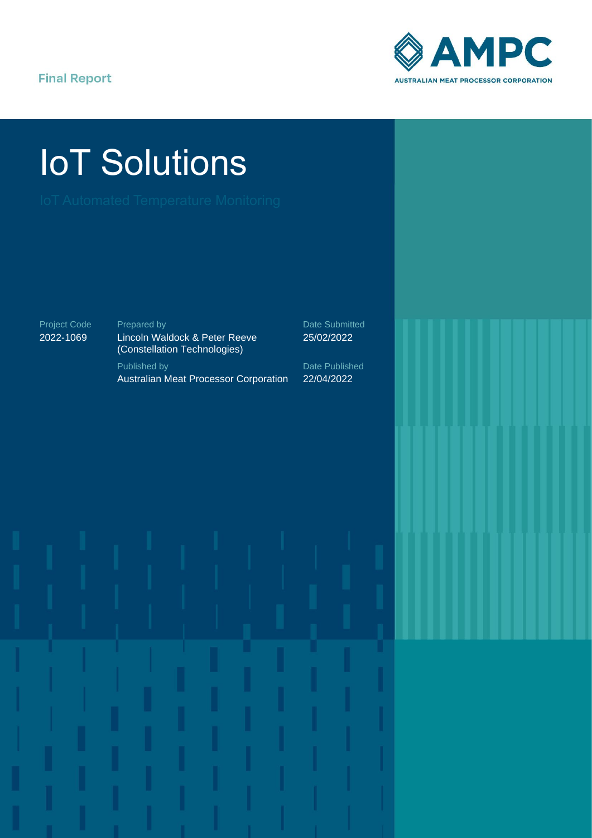#### **Final Report**



# IoT Solutions

Project Code 2022-1069

Prepared by Lincoln Waldock & Peter Reeve (Constellation Technologies) Published by Australian Meat Processor Corporation

Date Submitted 25/02/2022

Date Published 22/04/2022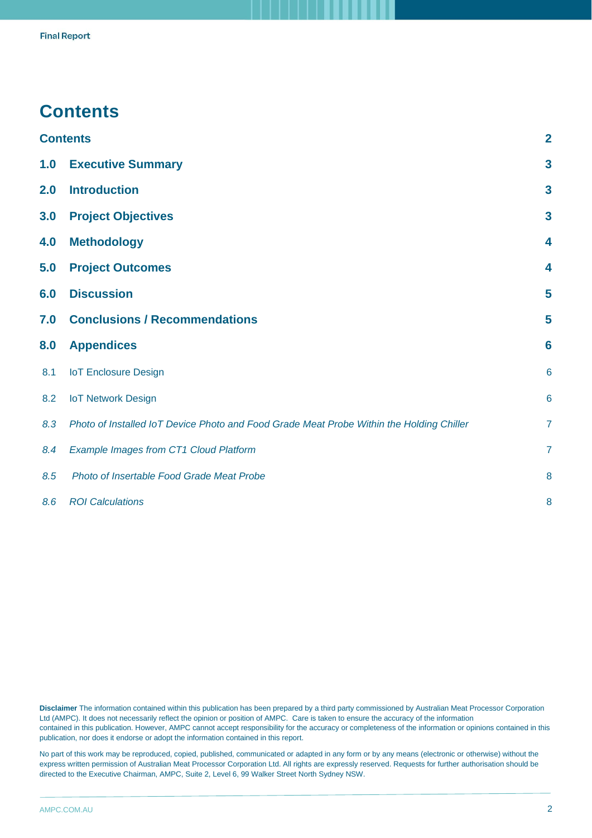### <span id="page-1-0"></span>**Contents**

|     | <b>Contents</b>                                                                          | $\overline{2}$          |
|-----|------------------------------------------------------------------------------------------|-------------------------|
| 1.0 | <b>Executive Summary</b>                                                                 | $\mathbf{3}$            |
| 2.0 | <b>Introduction</b>                                                                      | $\mathbf{3}$            |
| 3.0 | <b>Project Objectives</b>                                                                | $\overline{\mathbf{3}}$ |
| 4.0 | <b>Methodology</b>                                                                       | 4                       |
| 5.0 | <b>Project Outcomes</b>                                                                  | 4                       |
| 6.0 | <b>Discussion</b>                                                                        | 5                       |
| 7.0 | <b>Conclusions / Recommendations</b>                                                     | 5                       |
| 8.0 | <b>Appendices</b>                                                                        | $6\phantom{1}6$         |
| 8.1 | <b>IoT Enclosure Design</b>                                                              | $6\phantom{1}6$         |
| 8.2 | <b>IoT Network Design</b>                                                                | $6\phantom{1}6$         |
| 8.3 | Photo of Installed IoT Device Photo and Food Grade Meat Probe Within the Holding Chiller | $\overline{7}$          |
| 8.4 | <b>Example Images from CT1 Cloud Platform</b>                                            | $\overline{7}$          |
| 8.5 | Photo of Insertable Food Grade Meat Probe                                                | 8                       |
| 8.6 | <b>ROI Calculations</b>                                                                  | 8                       |

**Disclaimer** The information contained within this publication has been prepared by a third party commissioned by Australian Meat Processor Corporation Ltd (AMPC). It does not necessarily reflect the opinion or position of AMPC. Care is taken to ensure the accuracy of the information contained in this publication. However, AMPC cannot accept responsibility for the accuracy or completeness of the information or opinions contained in this publication, nor does it endorse or adopt the information contained in this report.

No part of this work may be reproduced, copied, published, communicated or adapted in any form or by any means (electronic or otherwise) without the express written permission of Australian Meat Processor Corporation Ltd. All rights are expressly reserved. Requests for further authorisation should be directed to the Executive Chairman, AMPC, Suite 2, Level 6, 99 Walker Street North Sydney NSW.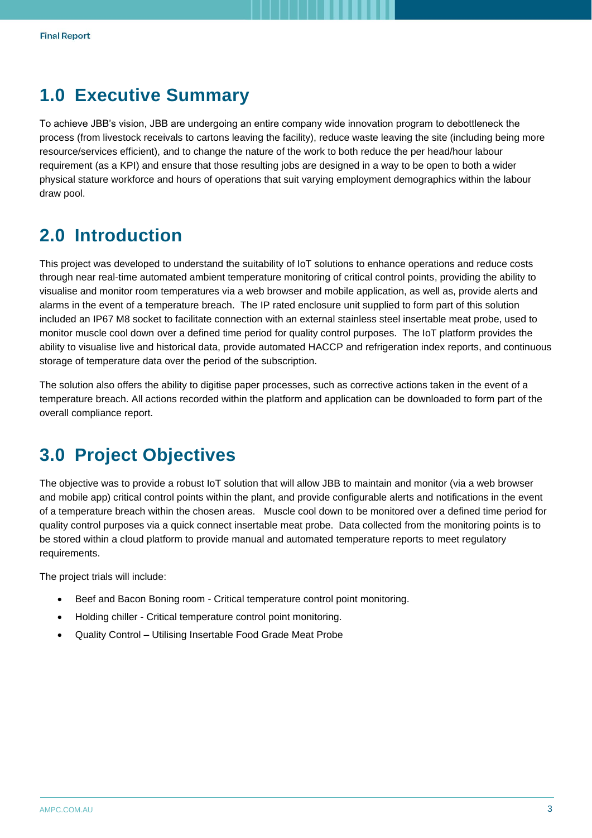## <span id="page-2-0"></span>**1.0 Executive Summary**

To achieve JBB's vision, JBB are undergoing an entire company wide innovation program to debottleneck the process (from livestock receivals to cartons leaving the facility), reduce waste leaving the site (including being more resource/services efficient), and to change the nature of the work to both reduce the per head/hour labour requirement (as a KPI) and ensure that those resulting jobs are designed in a way to be open to both a wider physical stature workforce and hours of operations that suit varying employment demographics within the labour draw pool.

# <span id="page-2-1"></span>**2.0 Introduction**

This project was developed to understand the suitability of IoT solutions to enhance operations and reduce costs through near real-time automated ambient temperature monitoring of critical control points, providing the ability to visualise and monitor room temperatures via a web browser and mobile application, as well as, provide alerts and alarms in the event of a temperature breach. The IP rated enclosure unit supplied to form part of this solution included an IP67 M8 socket to facilitate connection with an external stainless steel insertable meat probe, used to monitor muscle cool down over a defined time period for quality control purposes. The IoT platform provides the ability to visualise live and historical data, provide automated HACCP and refrigeration index reports, and continuous storage of temperature data over the period of the subscription.

The solution also offers the ability to digitise paper processes, such as corrective actions taken in the event of a temperature breach. All actions recorded within the platform and application can be downloaded to form part of the overall compliance report.

# <span id="page-2-2"></span>**3.0 Project Objectives**

The objective was to provide a robust IoT solution that will allow JBB to maintain and monitor (via a web browser and mobile app) critical control points within the plant, and provide configurable alerts and notifications in the event of a temperature breach within the chosen areas. Muscle cool down to be monitored over a defined time period for quality control purposes via a quick connect insertable meat probe. Data collected from the monitoring points is to be stored within a cloud platform to provide manual and automated temperature reports to meet regulatory requirements.

The project trials will include:

- Beef and Bacon Boning room Critical temperature control point monitoring.
- Holding chiller Critical temperature control point monitoring.
- Quality Control Utilising Insertable Food Grade Meat Probe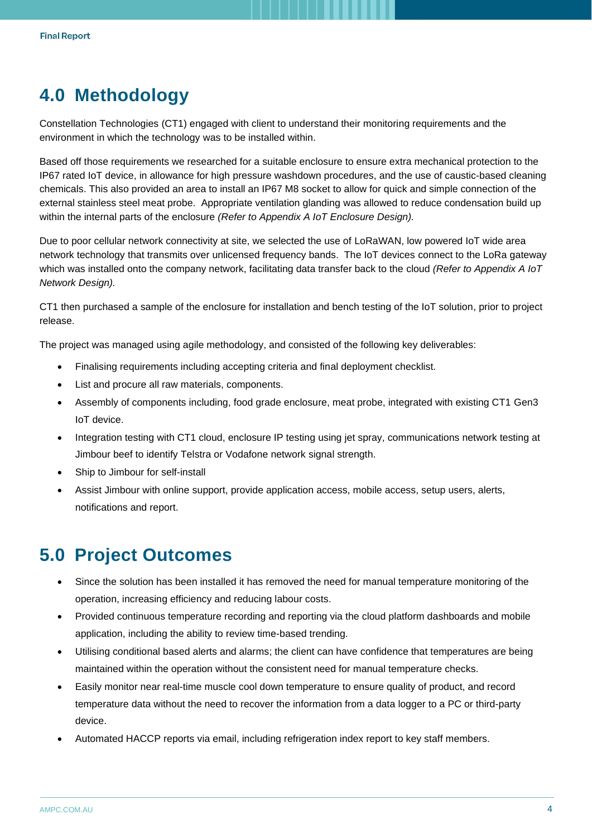## <span id="page-3-0"></span>**4.0 Methodology**

Constellation Technologies (CT1) engaged with client to understand their monitoring requirements and the environment in which the technology was to be installed within.

Based off those requirements we researched for a suitable enclosure to ensure extra mechanical protection to the IP67 rated IoT device, in allowance for high pressure washdown procedures, and the use of caustic-based cleaning chemicals. This also provided an area to install an IP67 M8 socket to allow for quick and simple connection of the external stainless steel meat probe. Appropriate ventilation glanding was allowed to reduce condensation build up within the internal parts of the enclosure *(Refer to Appendix A IoT Enclosure Design).*

Due to poor cellular network connectivity at site, we selected the use of LoRaWAN, low powered IoT wide area network technology that transmits over unlicensed frequency bands. The IoT devices connect to the LoRa gateway which was installed onto the company network, facilitating data transfer back to the cloud *(Refer to Appendix A IoT Network Design).*

CT1 then purchased a sample of the enclosure for installation and bench testing of the IoT solution, prior to project release.

The project was managed using agile methodology, and consisted of the following key deliverables:

- Finalising requirements including accepting criteria and final deployment checklist.
- List and procure all raw materials, components.
- Assembly of components including, food grade enclosure, meat probe, integrated with existing CT1 Gen3 IoT device.
- Integration testing with CT1 cloud, enclosure IP testing using jet spray, communications network testing at Jimbour beef to identify Telstra or Vodafone network signal strength.
- Ship to Jimbour for self-install
- Assist Jimbour with online support, provide application access, mobile access, setup users, alerts, notifications and report.

# <span id="page-3-1"></span>**5.0 Project Outcomes**

- Since the solution has been installed it has removed the need for manual temperature monitoring of the operation, increasing efficiency and reducing labour costs.
- Provided continuous temperature recording and reporting via the cloud platform dashboards and mobile application, including the ability to review time-based trending.
- Utilising conditional based alerts and alarms; the client can have confidence that temperatures are being maintained within the operation without the consistent need for manual temperature checks.
- Easily monitor near real-time muscle cool down temperature to ensure quality of product, and record temperature data without the need to recover the information from a data logger to a PC or third-party device.
- Automated HACCP reports via email, including refrigeration index report to key staff members.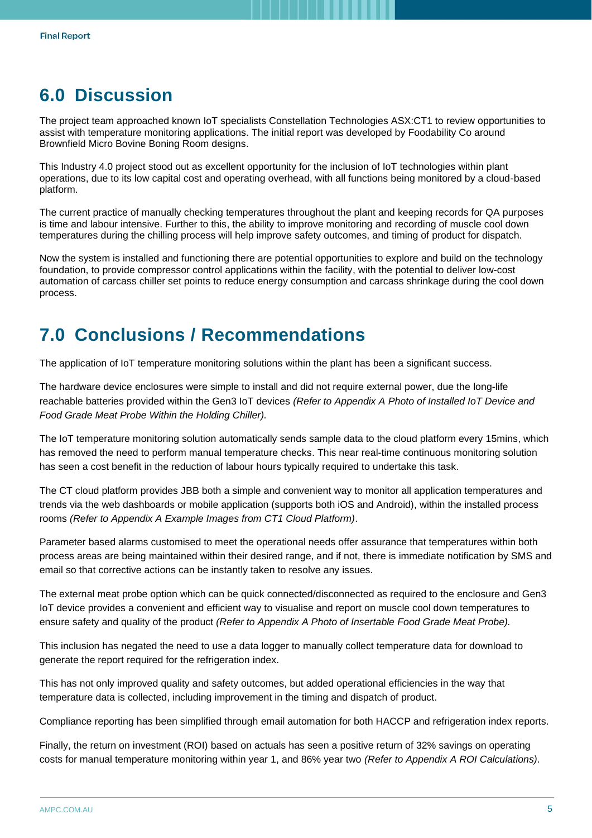## <span id="page-4-0"></span>**6.0 Discussion**

The project team approached known IoT specialists Constellation Technologies ASX:CT1 to review opportunities to assist with temperature monitoring applications. The initial report was developed by Foodability Co around Brownfield Micro Bovine Boning Room designs.

This Industry 4.0 project stood out as excellent opportunity for the inclusion of IoT technologies within plant operations, due to its low capital cost and operating overhead, with all functions being monitored by a cloud-based platform.

The current practice of manually checking temperatures throughout the plant and keeping records for QA purposes is time and labour intensive. Further to this, the ability to improve monitoring and recording of muscle cool down temperatures during the chilling process will help improve safety outcomes, and timing of product for dispatch.

Now the system is installed and functioning there are potential opportunities to explore and build on the technology foundation, to provide compressor control applications within the facility, with the potential to deliver low-cost automation of carcass chiller set points to reduce energy consumption and carcass shrinkage during the cool down process.

## <span id="page-4-1"></span>**7.0 Conclusions / Recommendations**

The application of IoT temperature monitoring solutions within the plant has been a significant success.

The hardware device enclosures were simple to install and did not require external power, due the long-life reachable batteries provided within the Gen3 IoT devices *(Refer to Appendix A Photo of Installed IoT Device and Food Grade Meat Probe Within the Holding Chiller).*

The IoT temperature monitoring solution automatically sends sample data to the cloud platform every 15mins, which has removed the need to perform manual temperature checks. This near real-time continuous monitoring solution has seen a cost benefit in the reduction of labour hours typically required to undertake this task.

The CT cloud platform provides JBB both a simple and convenient way to monitor all application temperatures and trends via the web dashboards or mobile application (supports both iOS and Android), within the installed process rooms *(Refer to Appendix A Example Images from CT1 Cloud Platform)*.

Parameter based alarms customised to meet the operational needs offer assurance that temperatures within both process areas are being maintained within their desired range, and if not, there is immediate notification by SMS and email so that corrective actions can be instantly taken to resolve any issues.

The external meat probe option which can be quick connected/disconnected as required to the enclosure and Gen3 IoT device provides a convenient and efficient way to visualise and report on muscle cool down temperatures to ensure safety and quality of the product *(Refer to Appendix A Photo of Insertable Food Grade Meat Probe).* 

This inclusion has negated the need to use a data logger to manually collect temperature data for download to generate the report required for the refrigeration index.

This has not only improved quality and safety outcomes, but added operational efficiencies in the way that temperature data is collected, including improvement in the timing and dispatch of product.

Compliance reporting has been simplified through email automation for both HACCP and refrigeration index reports.

Finally, the return on investment (ROI) based on actuals has seen a positive return of 32% savings on operating costs for manual temperature monitoring within year 1, and 86% year two *(Refer to Appendix A ROI Calculations).*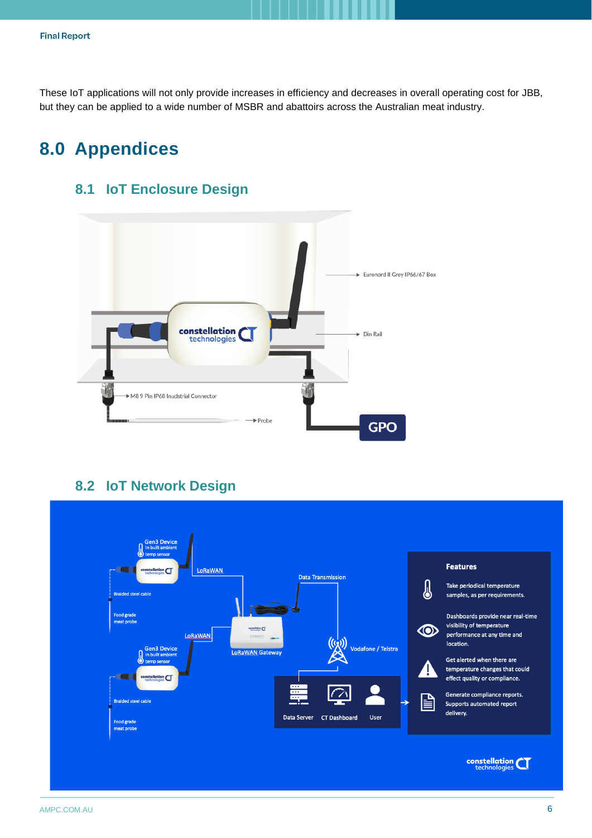These IoT applications will not only provide increases in efficiency and decreases in overall operating cost for JBB, but they can be applied to a wide number of MSBR and abattoirs across the Australian meat industry.

## <span id="page-5-1"></span><span id="page-5-0"></span>**8.0 Appendices**

#### **8.1 IoT Enclosure Design**



#### **8.2 IoT Network Design**

<span id="page-5-2"></span>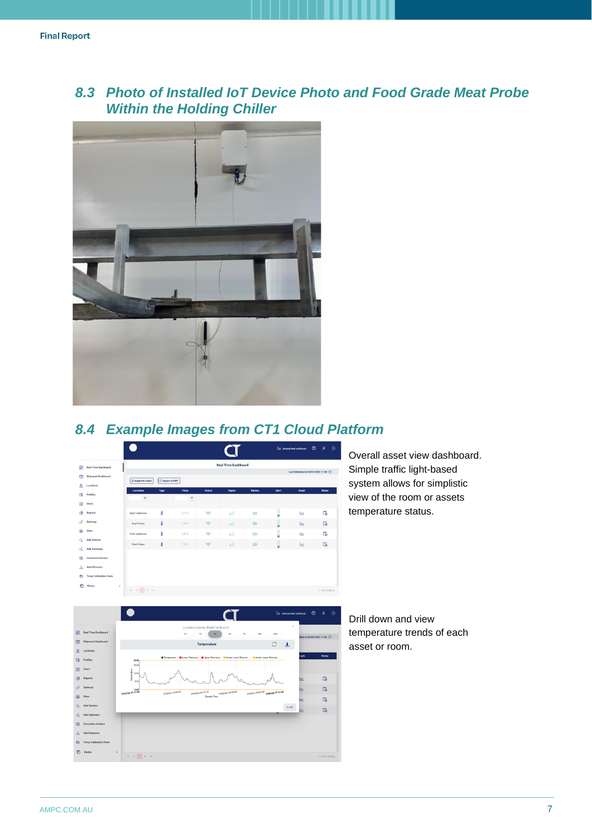#### <span id="page-6-0"></span>*8.3 Photo of Installed IoT Device Photo and Food Grade Meat Probe Within the Holding Chiller*



#### <span id="page-6-1"></span>*8.4 Example Images from CT1 Cloud Platform*



Overall asset view dashboard. Simple traffic light-based system allows for simplistic view of the room or assets temperature status.



Drill down and view temperature trends of each asset or room.